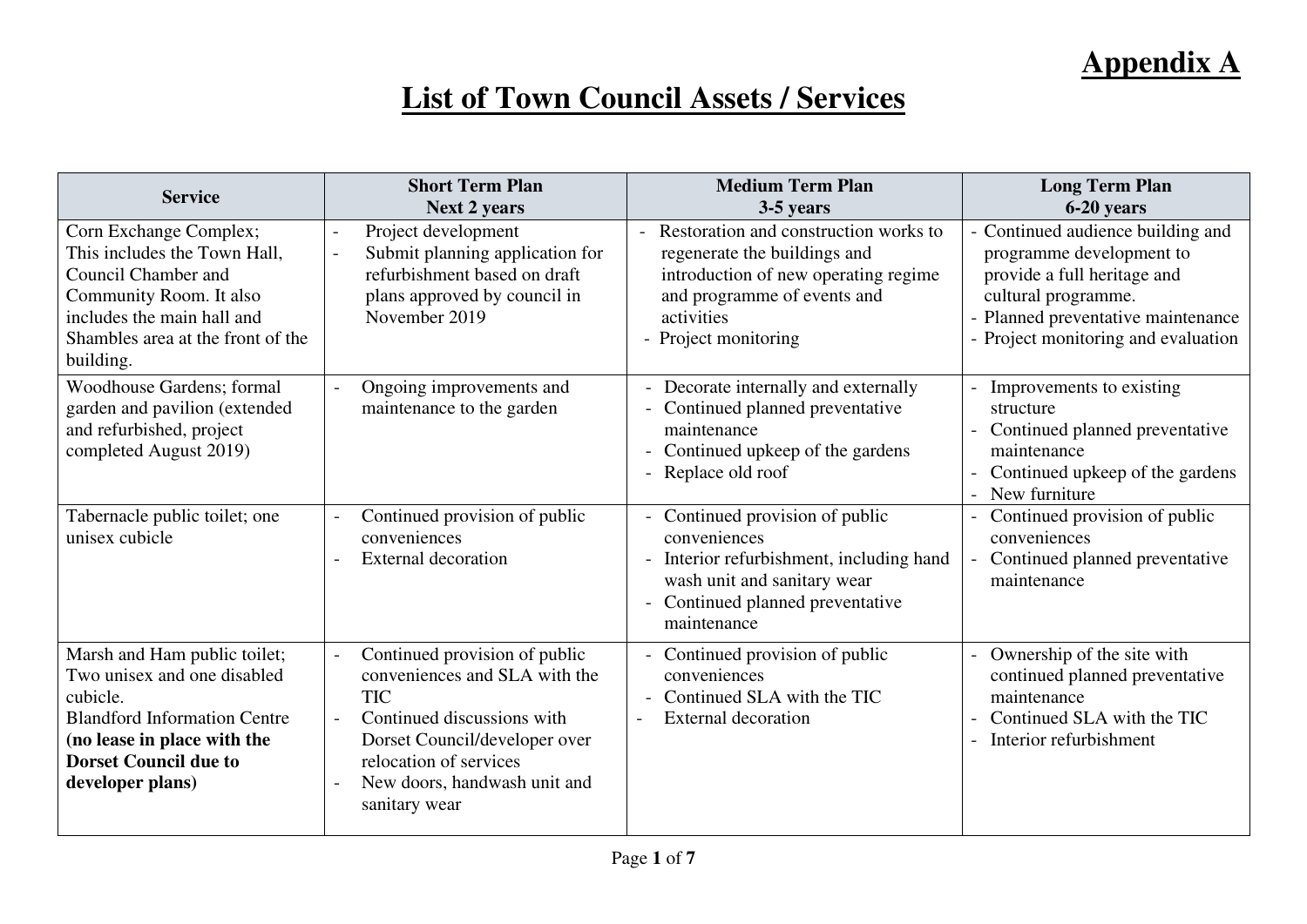## **List of Town Council Assets / Services**

| <b>Service</b>                                                                                                                                                                                    | <b>Short Term Plan</b><br><b>Next 2 years</b>                                                                                                                                                                          | <b>Medium Term Plan</b><br>3-5 years                                                                                                                                                                           | <b>Long Term Plan</b><br>6-20 years                                                                                                                                                              |
|---------------------------------------------------------------------------------------------------------------------------------------------------------------------------------------------------|------------------------------------------------------------------------------------------------------------------------------------------------------------------------------------------------------------------------|----------------------------------------------------------------------------------------------------------------------------------------------------------------------------------------------------------------|--------------------------------------------------------------------------------------------------------------------------------------------------------------------------------------------------|
| Corn Exchange Complex;<br>This includes the Town Hall,<br>Council Chamber and<br>Community Room. It also<br>includes the main hall and<br>Shambles area at the front of the<br>building.          | Project development<br>$\blacksquare$<br>Submit planning application for<br>refurbishment based on draft<br>plans approved by council in<br>November 2019                                                              | Restoration and construction works to<br>$\overline{\phantom{a}}$<br>regenerate the buildings and<br>introduction of new operating regime<br>and programme of events and<br>activities<br>- Project monitoring | - Continued audience building and<br>programme development to<br>provide a full heritage and<br>cultural programme.<br>- Planned preventative maintenance<br>- Project monitoring and evaluation |
| Woodhouse Gardens; formal<br>garden and pavilion (extended<br>and refurbished, project<br>completed August 2019)                                                                                  | Ongoing improvements and<br>maintenance to the garden                                                                                                                                                                  | - Decorate internally and externally<br>- Continued planned preventative<br>maintenance<br>- Continued upkeep of the gardens<br>- Replace old roof                                                             | Improvements to existing<br>structure<br>Continued planned preventative<br>maintenance<br>Continued upkeep of the gardens<br>New furniture                                                       |
| Tabernacle public toilet; one<br>unisex cubicle                                                                                                                                                   | Continued provision of public<br>conveniences<br><b>External decoration</b>                                                                                                                                            | - Continued provision of public<br>conveniences<br>- Interior refurbishment, including hand<br>wash unit and sanitary wear<br>- Continued planned preventative<br>maintenance                                  | Continued provision of public<br>$\overline{a}$<br>conveniences<br>Continued planned preventative<br>maintenance                                                                                 |
| Marsh and Ham public toilet;<br>Two unisex and one disabled<br>cubicle.<br><b>Blandford Information Centre</b><br>(no lease in place with the<br><b>Dorset Council due to</b><br>developer plans) | Continued provision of public<br>conveniences and SLA with the<br><b>TIC</b><br>Continued discussions with<br>Dorset Council/developer over<br>relocation of services<br>New doors, handwash unit and<br>sanitary wear | - Continued provision of public<br>conveniences<br>Continued SLA with the TIC<br><b>External decoration</b>                                                                                                    | Ownership of the site with<br>continued planned preventative<br>maintenance<br>Continued SLA with the TIC<br>Interior refurbishment                                                              |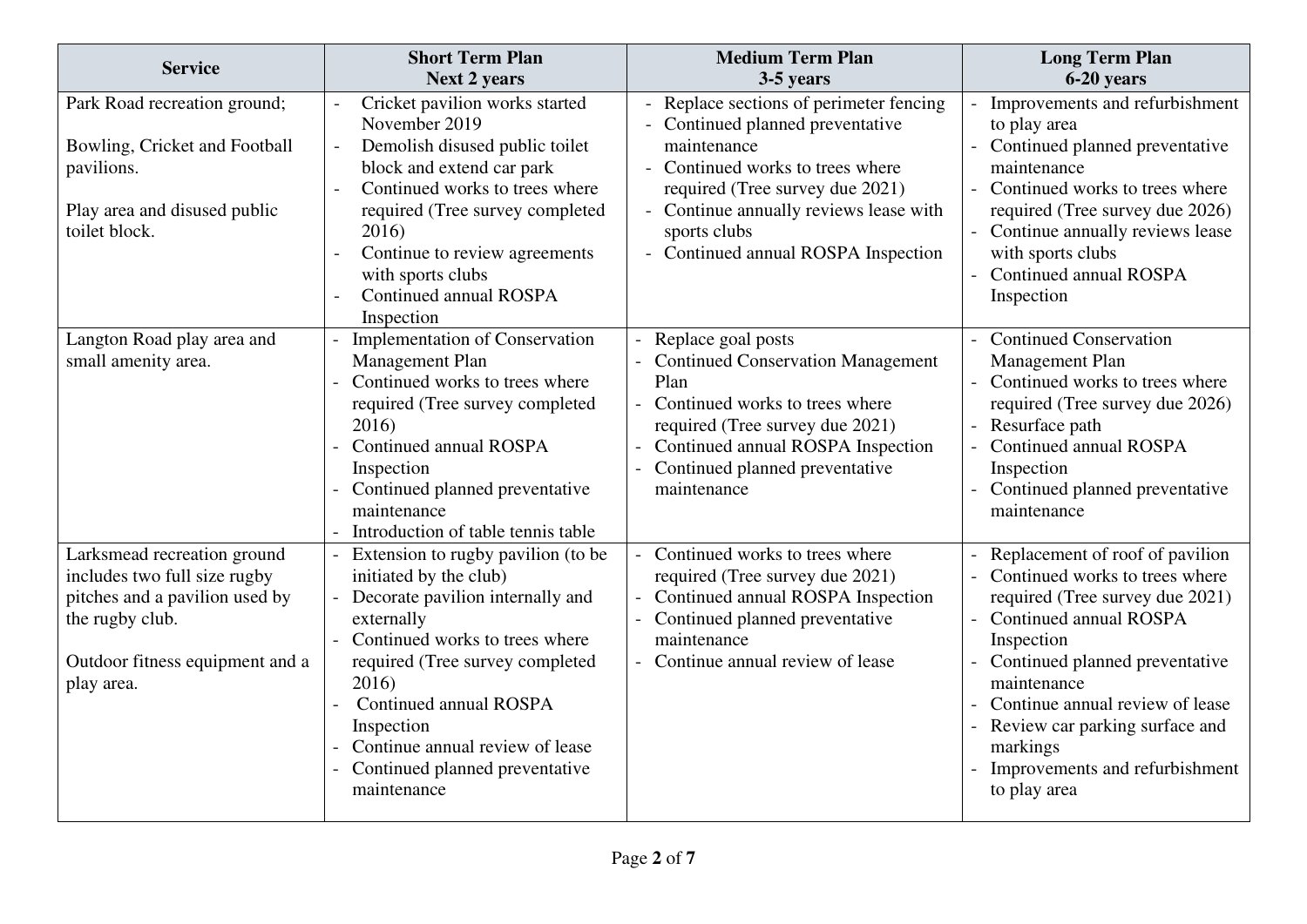| <b>Service</b>                                                                                                                                                    | <b>Short Term Plan</b>                                                                                                                                                                                                                                                                                                   | <b>Medium Term Plan</b>                                                                                                                                                                                                                                                          | <b>Long Term Plan</b>                                                                                                                                                                                                                                                                                                              |
|-------------------------------------------------------------------------------------------------------------------------------------------------------------------|--------------------------------------------------------------------------------------------------------------------------------------------------------------------------------------------------------------------------------------------------------------------------------------------------------------------------|----------------------------------------------------------------------------------------------------------------------------------------------------------------------------------------------------------------------------------------------------------------------------------|------------------------------------------------------------------------------------------------------------------------------------------------------------------------------------------------------------------------------------------------------------------------------------------------------------------------------------|
|                                                                                                                                                                   | <b>Next 2 years</b>                                                                                                                                                                                                                                                                                                      | 3-5 years                                                                                                                                                                                                                                                                        | 6-20 years                                                                                                                                                                                                                                                                                                                         |
| Park Road recreation ground;<br>Bowling, Cricket and Football<br>pavilions.<br>Play area and disused public<br>toilet block.                                      | Cricket pavilion works started<br>November 2019<br>Demolish disused public toilet<br>block and extend car park<br>Continued works to trees where<br>required (Tree survey completed<br>2016)<br>Continue to review agreements<br>$\overline{a}$<br>with sports clubs<br>Continued annual ROSPA<br>Inspection             | - Replace sections of perimeter fencing<br>Continued planned preventative<br>maintenance<br>Continued works to trees where<br>$\overline{a}$<br>required (Tree survey due 2021)<br>- Continue annually reviews lease with<br>sports clubs<br>- Continued annual ROSPA Inspection | Improvements and refurbishment<br>to play area<br>Continued planned preventative<br>maintenance<br>Continued works to trees where<br>required (Tree survey due 2026)<br>- Continue annually reviews lease<br>with sports clubs<br>Continued annual ROSPA<br>Inspection                                                             |
| Langton Road play area and<br>small amenity area.                                                                                                                 | Implementation of Conservation<br>Management Plan<br>Continued works to trees where<br>required (Tree survey completed<br>2016)<br>Continued annual ROSPA<br>Inspection<br>Continued planned preventative<br>maintenance<br>Introduction of table tennis table                                                           | Replace goal posts<br><b>Continued Conservation Management</b><br>Plan<br>- Continued works to trees where<br>required (Tree survey due 2021)<br>Continued annual ROSPA Inspection<br>Continued planned preventative<br>maintenance                                              | <b>Continued Conservation</b><br>$\overline{a}$<br>Management Plan<br>Continued works to trees where<br>required (Tree survey due 2026)<br>Resurface path<br><b>Continued annual ROSPA</b><br>Inspection<br>Continued planned preventative<br>maintenance                                                                          |
| Larksmead recreation ground<br>includes two full size rugby<br>pitches and a pavilion used by<br>the rugby club.<br>Outdoor fitness equipment and a<br>play area. | Extension to rugby pavilion (to be<br>initiated by the club)<br>Decorate pavilion internally and<br>externally<br>Continued works to trees where<br>required (Tree survey completed<br>2016)<br>Continued annual ROSPA<br>Inspection<br>Continue annual review of lease<br>Continued planned preventative<br>maintenance | Continued works to trees where<br>$\sim$<br>required (Tree survey due 2021)<br>- Continued annual ROSPA Inspection<br>- Continued planned preventative<br>maintenance<br>- Continue annual review of lease                                                                       | Replacement of roof of pavilion<br>Continued works to trees where<br>required (Tree survey due 2021)<br>- Continued annual ROSPA<br>Inspection<br>Continued planned preventative<br>maintenance<br>Continue annual review of lease<br>Review car parking surface and<br>markings<br>Improvements and refurbishment<br>to play area |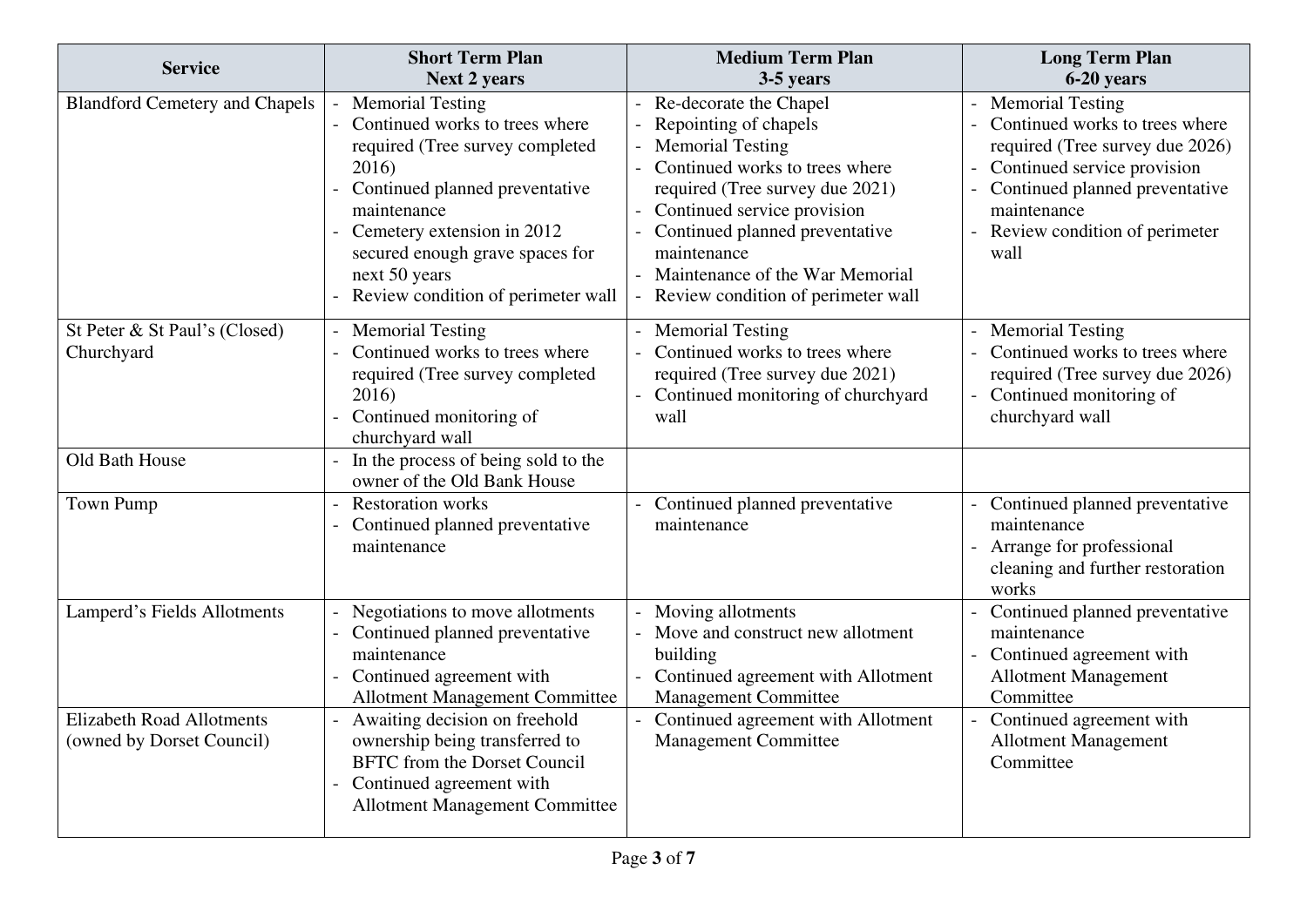| <b>Service</b>                                                | <b>Short Term Plan</b><br><b>Next 2 years</b>                                                                                                                                                                                                                                  | <b>Medium Term Plan</b><br>3-5 years                                                                                                                                                                                                                                                                     | <b>Long Term Plan</b><br>6-20 years                                                                                                                                                                                   |
|---------------------------------------------------------------|--------------------------------------------------------------------------------------------------------------------------------------------------------------------------------------------------------------------------------------------------------------------------------|----------------------------------------------------------------------------------------------------------------------------------------------------------------------------------------------------------------------------------------------------------------------------------------------------------|-----------------------------------------------------------------------------------------------------------------------------------------------------------------------------------------------------------------------|
| <b>Blandford Cemetery and Chapels</b>                         | <b>Memorial Testing</b><br>Continued works to trees where<br>required (Tree survey completed<br>2016)<br>Continued planned preventative<br>maintenance<br>Cemetery extension in 2012<br>secured enough grave spaces for<br>next 50 years<br>Review condition of perimeter wall | Re-decorate the Chapel<br>Repointing of chapels<br><b>Memorial Testing</b><br>Continued works to trees where<br>required (Tree survey due 2021)<br>Continued service provision<br>Continued planned preventative<br>maintenance<br>Maintenance of the War Memorial<br>Review condition of perimeter wall | <b>Memorial Testing</b><br>Continued works to trees where<br>required (Tree survey due 2026)<br>Continued service provision<br>Continued planned preventative<br>maintenance<br>Review condition of perimeter<br>wall |
| St Peter & St Paul's (Closed)<br>Churchyard                   | <b>Memorial Testing</b><br>Continued works to trees where<br>required (Tree survey completed<br>2016)<br>Continued monitoring of<br>churchyard wall                                                                                                                            | - Memorial Testing<br>- Continued works to trees where<br>required (Tree survey due 2021)<br>Continued monitoring of churchyard<br>wall                                                                                                                                                                  | <b>Memorial Testing</b><br>Continued works to trees where<br>required (Tree survey due 2026)<br>Continued monitoring of<br>churchyard wall                                                                            |
| Old Bath House                                                | In the process of being sold to the<br>$\equiv$<br>owner of the Old Bank House                                                                                                                                                                                                 |                                                                                                                                                                                                                                                                                                          |                                                                                                                                                                                                                       |
| <b>Town Pump</b>                                              | <b>Restoration works</b><br>$\sim$<br>Continued planned preventative<br>$\equiv$<br>maintenance                                                                                                                                                                                | Continued planned preventative<br>maintenance                                                                                                                                                                                                                                                            | Continued planned preventative<br>maintenance<br>Arrange for professional<br>cleaning and further restoration<br>works                                                                                                |
| Lamperd's Fields Allotments                                   | Negotiations to move allotments<br>Continued planned preventative<br>maintenance<br>Continued agreement with<br><b>Allotment Management Committee</b>                                                                                                                          | Moving allotments<br>Move and construct new allotment<br>building<br>Continued agreement with Allotment<br><b>Management Committee</b>                                                                                                                                                                   | Continued planned preventative<br>maintenance<br>Continued agreement with<br><b>Allotment Management</b><br>Committee                                                                                                 |
| <b>Elizabeth Road Allotments</b><br>(owned by Dorset Council) | Awaiting decision on freehold<br>ownership being transferred to<br><b>BFTC</b> from the Dorset Council<br>Continued agreement with<br><b>Allotment Management Committee</b>                                                                                                    | Continued agreement with Allotment<br><b>Management Committee</b>                                                                                                                                                                                                                                        | Continued agreement with<br><b>Allotment Management</b><br>Committee                                                                                                                                                  |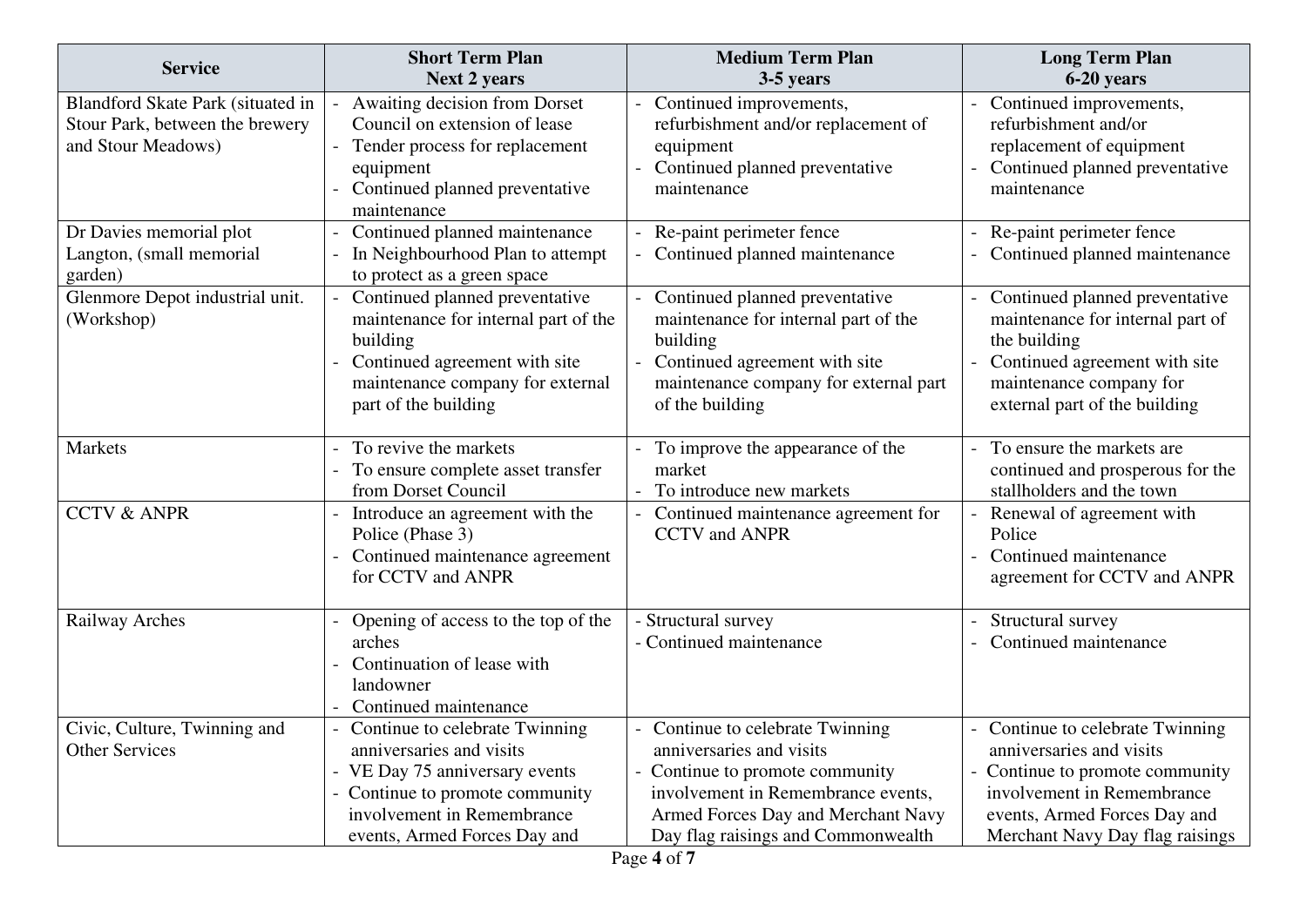| <b>Service</b>                                                                             | <b>Short Term Plan</b><br><b>Next 2 years</b>                                                                                                                                               | <b>Medium Term Plan</b><br>3-5 years                                                                                                                                                                          | <b>Long Term Plan</b><br>6-20 years                                                                                                                                                          |
|--------------------------------------------------------------------------------------------|---------------------------------------------------------------------------------------------------------------------------------------------------------------------------------------------|---------------------------------------------------------------------------------------------------------------------------------------------------------------------------------------------------------------|----------------------------------------------------------------------------------------------------------------------------------------------------------------------------------------------|
| Blandford Skate Park (situated in<br>Stour Park, between the brewery<br>and Stour Meadows) | Awaiting decision from Dorset<br>Council on extension of lease<br>Tender process for replacement<br>equipment<br>Continued planned preventative<br>maintenance                              | Continued improvements,<br>refurbishment and/or replacement of<br>equipment<br>Continued planned preventative<br>maintenance                                                                                  | Continued improvements,<br>refurbishment and/or<br>replacement of equipment<br>Continued planned preventative<br>maintenance                                                                 |
| Dr Davies memorial plot<br>Langton, (small memorial<br>garden)                             | Continued planned maintenance<br>In Neighbourhood Plan to attempt<br>to protect as a green space                                                                                            | Re-paint perimeter fence<br>- Continued planned maintenance                                                                                                                                                   | Re-paint perimeter fence<br>Continued planned maintenance                                                                                                                                    |
| Glenmore Depot industrial unit.<br>(Workshop)                                              | Continued planned preventative<br>maintenance for internal part of the<br>building<br>Continued agreement with site<br>maintenance company for external<br>part of the building             | Continued planned preventative<br>maintenance for internal part of the<br>building<br>Continued agreement with site<br>maintenance company for external part<br>of the building                               | Continued planned preventative<br>maintenance for internal part of<br>the building<br>Continued agreement with site<br>maintenance company for<br>external part of the building              |
| Markets                                                                                    | To revive the markets<br>To ensure complete asset transfer<br>from Dorset Council                                                                                                           | To improve the appearance of the<br>market<br>To introduce new markets                                                                                                                                        | To ensure the markets are<br>continued and prosperous for the<br>stallholders and the town                                                                                                   |
| <b>CCTV &amp; ANPR</b>                                                                     | Introduce an agreement with the<br>Police (Phase 3)<br>Continued maintenance agreement<br>for CCTV and ANPR                                                                                 | Continued maintenance agreement for<br><b>CCTV</b> and ANPR                                                                                                                                                   | Renewal of agreement with<br>Police<br>Continued maintenance<br>agreement for CCTV and ANPR                                                                                                  |
| Railway Arches                                                                             | Opening of access to the top of the<br>arches<br>Continuation of lease with<br>landowner<br>Continued maintenance                                                                           | - Structural survey<br>- Continued maintenance                                                                                                                                                                | Structural survey<br>Continued maintenance                                                                                                                                                   |
| Civic, Culture, Twinning and<br><b>Other Services</b>                                      | Continue to celebrate Twinning<br>anniversaries and visits<br>VE Day 75 anniversary events<br>- Continue to promote community<br>involvement in Remembrance<br>events, Armed Forces Day and | Continue to celebrate Twinning<br>anniversaries and visits<br>Continue to promote community<br>involvement in Remembrance events,<br>Armed Forces Day and Merchant Navy<br>Day flag raisings and Commonwealth | Continue to celebrate Twinning<br>anniversaries and visits<br>Continue to promote community<br>involvement in Remembrance<br>events, Armed Forces Day and<br>Merchant Navy Day flag raisings |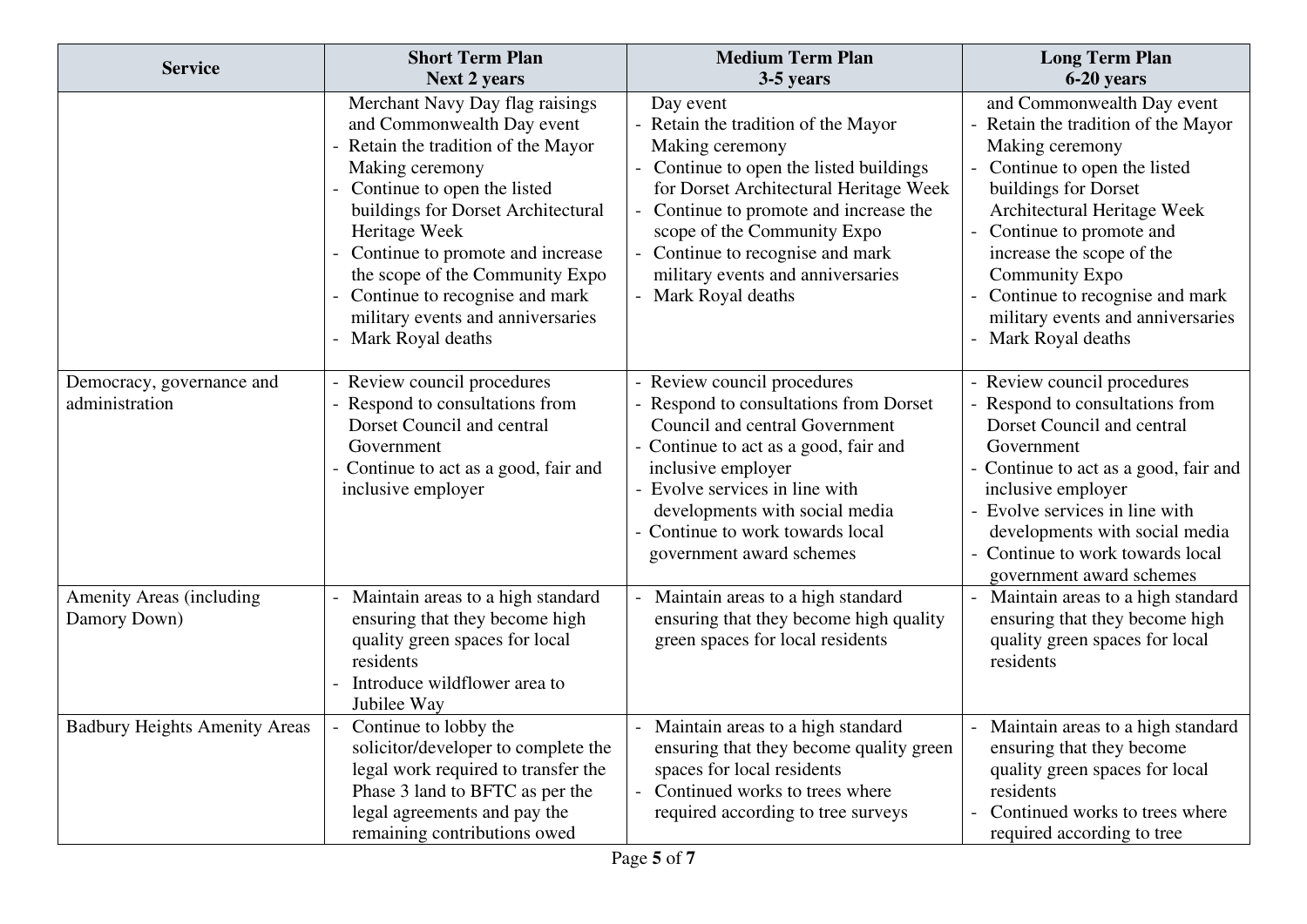| <b>Service</b>                              | <b>Short Term Plan</b><br><b>Next 2 years</b>                                                                                                                                                                                                                                                                                                                                  | <b>Medium Term Plan</b><br>3-5 years                                                                                                                                                                                                                                                                                        | <b>Long Term Plan</b><br>6-20 years                                                                                                                                                                                                                                                                                                                   |
|---------------------------------------------|--------------------------------------------------------------------------------------------------------------------------------------------------------------------------------------------------------------------------------------------------------------------------------------------------------------------------------------------------------------------------------|-----------------------------------------------------------------------------------------------------------------------------------------------------------------------------------------------------------------------------------------------------------------------------------------------------------------------------|-------------------------------------------------------------------------------------------------------------------------------------------------------------------------------------------------------------------------------------------------------------------------------------------------------------------------------------------------------|
|                                             | Merchant Navy Day flag raisings<br>and Commonwealth Day event<br>Retain the tradition of the Mayor<br>Making ceremony<br>Continue to open the listed<br>buildings for Dorset Architectural<br>Heritage Week<br>Continue to promote and increase<br>the scope of the Community Expo<br>Continue to recognise and mark<br>military events and anniversaries<br>Mark Royal deaths | Day event<br>- Retain the tradition of the Mayor<br>Making ceremony<br>Continue to open the listed buildings<br>for Dorset Architectural Heritage Week<br>Continue to promote and increase the<br>scope of the Community Expo<br>Continue to recognise and mark<br>military events and anniversaries<br>- Mark Royal deaths | and Commonwealth Day event<br>Retain the tradition of the Mayor<br>Making ceremony<br>Continue to open the listed<br>buildings for Dorset<br>Architectural Heritage Week<br>Continue to promote and<br>increase the scope of the<br><b>Community Expo</b><br>Continue to recognise and mark<br>military events and anniversaries<br>Mark Royal deaths |
| Democracy, governance and<br>administration | Review council procedures<br>Respond to consultations from<br>Dorset Council and central<br>Government<br>Continue to act as a good, fair and<br>inclusive employer                                                                                                                                                                                                            | - Review council procedures<br>- Respond to consultations from Dorset<br>Council and central Government<br>- Continue to act as a good, fair and<br>inclusive employer<br>- Evolve services in line with<br>developments with social media<br>Continue to work towards local<br>government award schemes                    | - Review council procedures<br>Respond to consultations from<br>Dorset Council and central<br>Government<br>Continue to act as a good, fair and<br>inclusive employer<br>- Evolve services in line with<br>developments with social media<br>Continue to work towards local<br>government award schemes                                               |
| Amenity Areas (including<br>Damory Down)    | Maintain areas to a high standard<br>ensuring that they become high<br>quality green spaces for local<br>residents<br>Introduce wildflower area to<br>Jubilee Way                                                                                                                                                                                                              | Maintain areas to a high standard<br>ensuring that they become high quality<br>green spaces for local residents                                                                                                                                                                                                             | Maintain areas to a high standard<br>ensuring that they become high<br>quality green spaces for local<br>residents                                                                                                                                                                                                                                    |
| <b>Badbury Heights Amenity Areas</b>        | Continue to lobby the<br>solicitor/developer to complete the<br>legal work required to transfer the<br>Phase 3 land to BFTC as per the<br>legal agreements and pay the<br>remaining contributions owed                                                                                                                                                                         | Maintain areas to a high standard<br>ensuring that they become quality green<br>spaces for local residents<br>Continued works to trees where<br>$\equiv$<br>required according to tree surveys                                                                                                                              | Maintain areas to a high standard<br>ensuring that they become<br>quality green spaces for local<br>residents<br>Continued works to trees where<br>required according to tree                                                                                                                                                                         |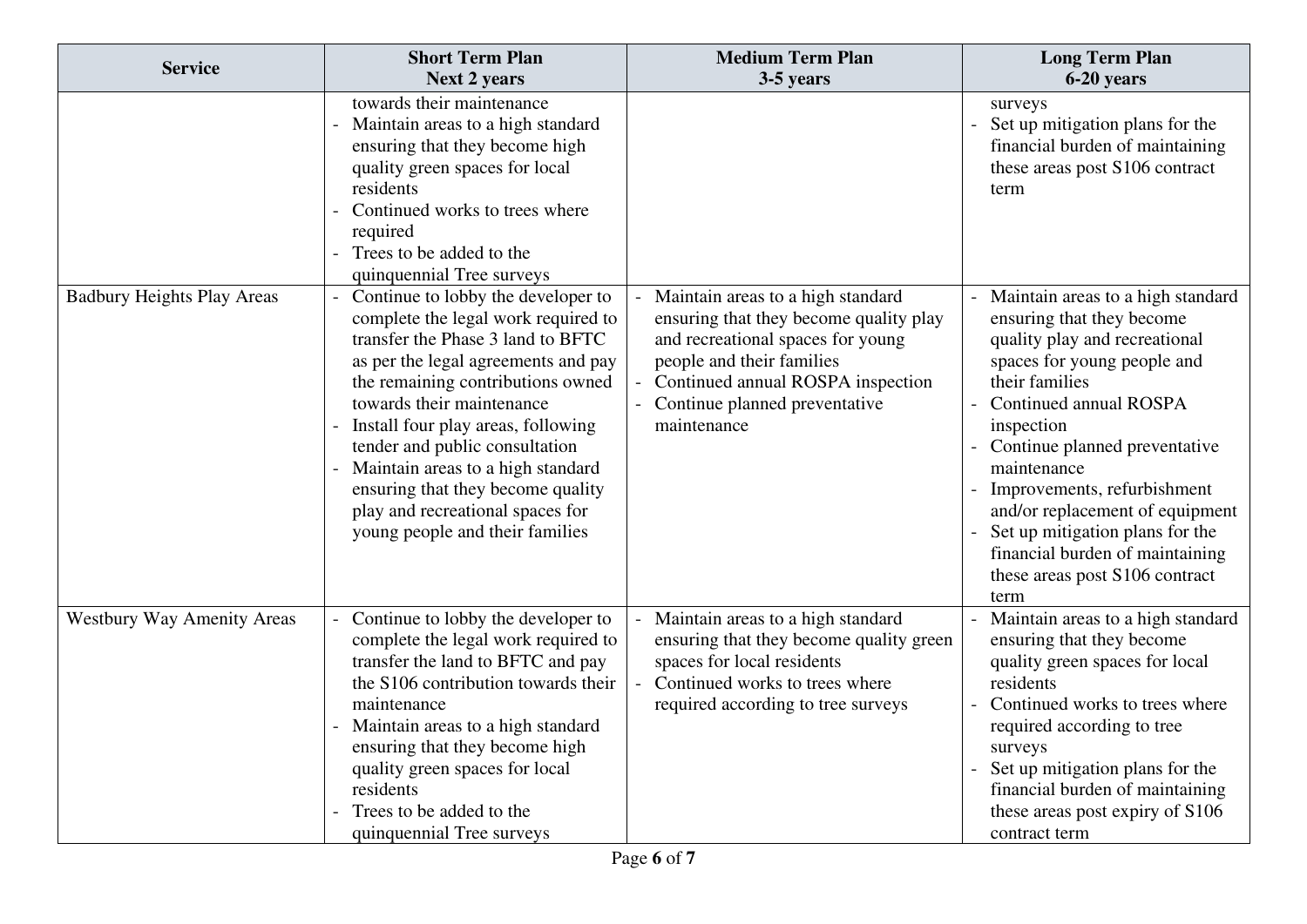| <b>Service</b>                    | <b>Short Term Plan</b><br><b>Next 2 years</b>                                                                                                                                                                                                                                                                                                                                                                                                    | <b>Medium Term Plan</b><br>3-5 years                                                                                                                                                                                               | <b>Long Term Plan</b><br>6-20 years                                                                                                                                                                                                                                                                                                                                                                                        |
|-----------------------------------|--------------------------------------------------------------------------------------------------------------------------------------------------------------------------------------------------------------------------------------------------------------------------------------------------------------------------------------------------------------------------------------------------------------------------------------------------|------------------------------------------------------------------------------------------------------------------------------------------------------------------------------------------------------------------------------------|----------------------------------------------------------------------------------------------------------------------------------------------------------------------------------------------------------------------------------------------------------------------------------------------------------------------------------------------------------------------------------------------------------------------------|
|                                   | towards their maintenance<br>Maintain areas to a high standard<br>ensuring that they become high<br>quality green spaces for local<br>residents<br>Continued works to trees where<br>required<br>Trees to be added to the<br>quinquennial Tree surveys                                                                                                                                                                                           |                                                                                                                                                                                                                                    | surveys<br>Set up mitigation plans for the<br>financial burden of maintaining<br>these areas post S106 contract<br>term                                                                                                                                                                                                                                                                                                    |
| <b>Badbury Heights Play Areas</b> | Continue to lobby the developer to<br>complete the legal work required to<br>transfer the Phase 3 land to BFTC<br>as per the legal agreements and pay<br>the remaining contributions owned<br>towards their maintenance<br>Install four play areas, following<br>tender and public consultation<br>Maintain areas to a high standard<br>ensuring that they become quality<br>play and recreational spaces for<br>young people and their families | Maintain areas to a high standard<br>ensuring that they become quality play<br>and recreational spaces for young<br>people and their families<br>Continued annual ROSPA inspection<br>Continue planned preventative<br>maintenance | Maintain areas to a high standard<br>ensuring that they become<br>quality play and recreational<br>spaces for young people and<br>their families<br>Continued annual ROSPA<br>inspection<br>Continue planned preventative<br>maintenance<br>Improvements, refurbishment<br>and/or replacement of equipment<br>Set up mitigation plans for the<br>financial burden of maintaining<br>these areas post S106 contract<br>term |
| <b>Westbury Way Amenity Areas</b> | Continue to lobby the developer to<br>complete the legal work required to<br>transfer the land to BFTC and pay<br>the S106 contribution towards their<br>maintenance<br>Maintain areas to a high standard<br>ensuring that they become high<br>quality green spaces for local<br>residents<br>Trees to be added to the<br>quinquennial Tree surveys                                                                                              | Maintain areas to a high standard<br>ensuring that they become quality green<br>spaces for local residents<br>Continued works to trees where<br>$\sim$<br>required according to tree surveys                                       | Maintain areas to a high standard<br>ensuring that they become<br>quality green spaces for local<br>residents<br>Continued works to trees where<br>required according to tree<br>surveys<br>Set up mitigation plans for the<br>financial burden of maintaining<br>these areas post expiry of S106<br>contract term                                                                                                         |